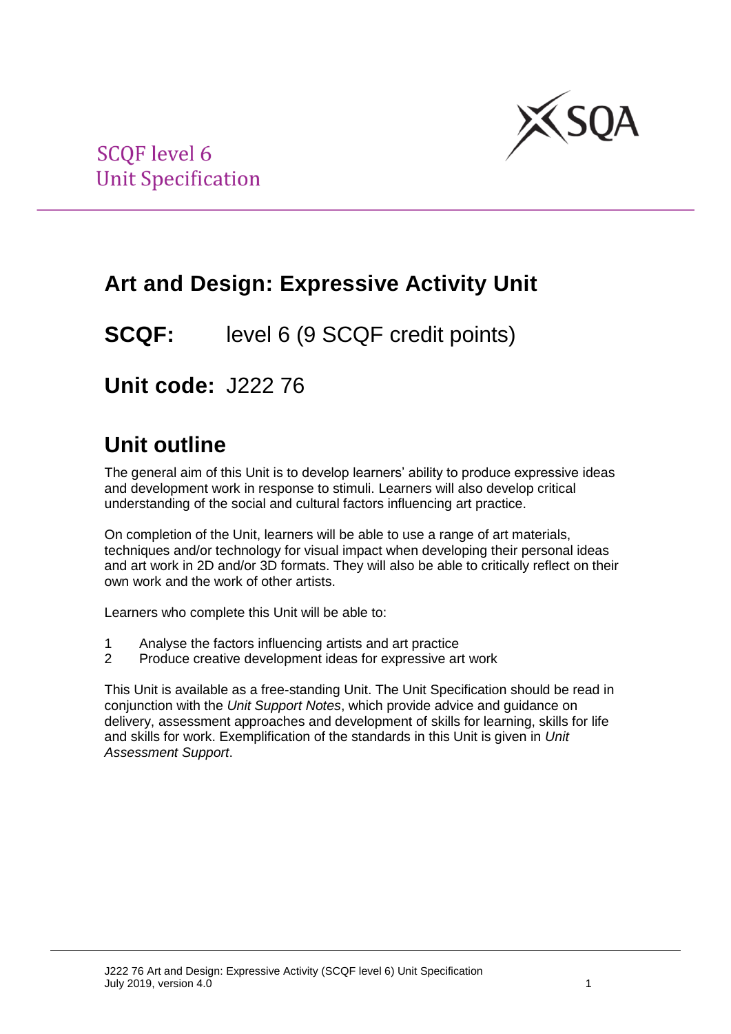

# **Art and Design: Expressive Activity Unit**

**SCQF:** level 6 (9 SCQF credit points)

**Unit code:** J222 76

# **Unit outline**

The general aim of this Unit is to develop learners' ability to produce expressive ideas and development work in response to stimuli. Learners will also develop critical understanding of the social and cultural factors influencing art practice.

On completion of the Unit, learners will be able to use a range of art materials, techniques and/or technology for visual impact when developing their personal ideas and art work in 2D and/or 3D formats. They will also be able to critically reflect on their own work and the work of other artists.

Learners who complete this Unit will be able to:

- 1 Analyse the factors influencing artists and art practice
- 2 Produce creative development ideas for expressive art work

This Unit is available as a free-standing Unit. The Unit Specification should be read in conjunction with the *Unit Support Notes*, which provide advice and guidance on delivery, assessment approaches and development of skills for learning, skills for life and skills for work. Exemplification of the standards in this Unit is given in *Unit Assessment Support*.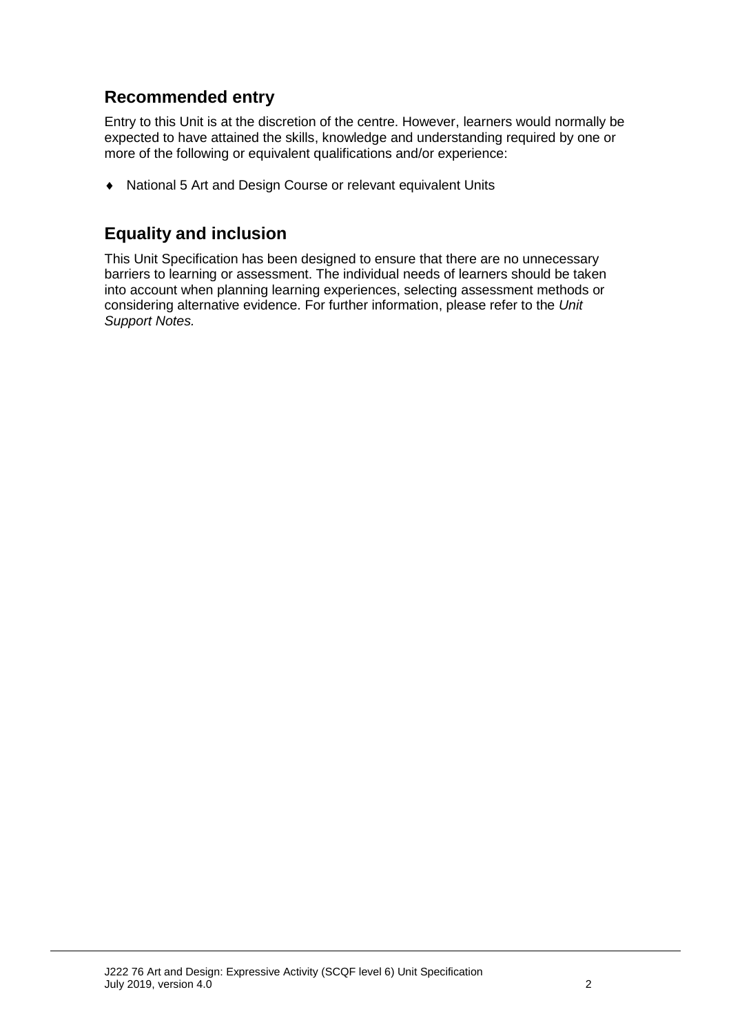## **Recommended entry**

Entry to this Unit is at the discretion of the centre. However, learners would normally be expected to have attained the skills, knowledge and understanding required by one or more of the following or equivalent qualifications and/or experience:

National 5 Art and Design Course or relevant equivalent Units

### **Equality and inclusion**

This Unit Specification has been designed to ensure that there are no unnecessary barriers to learning or assessment. The individual needs of learners should be taken into account when planning learning experiences, selecting assessment methods or considering alternative evidence. For further information, please refer to the *Unit Support Notes.*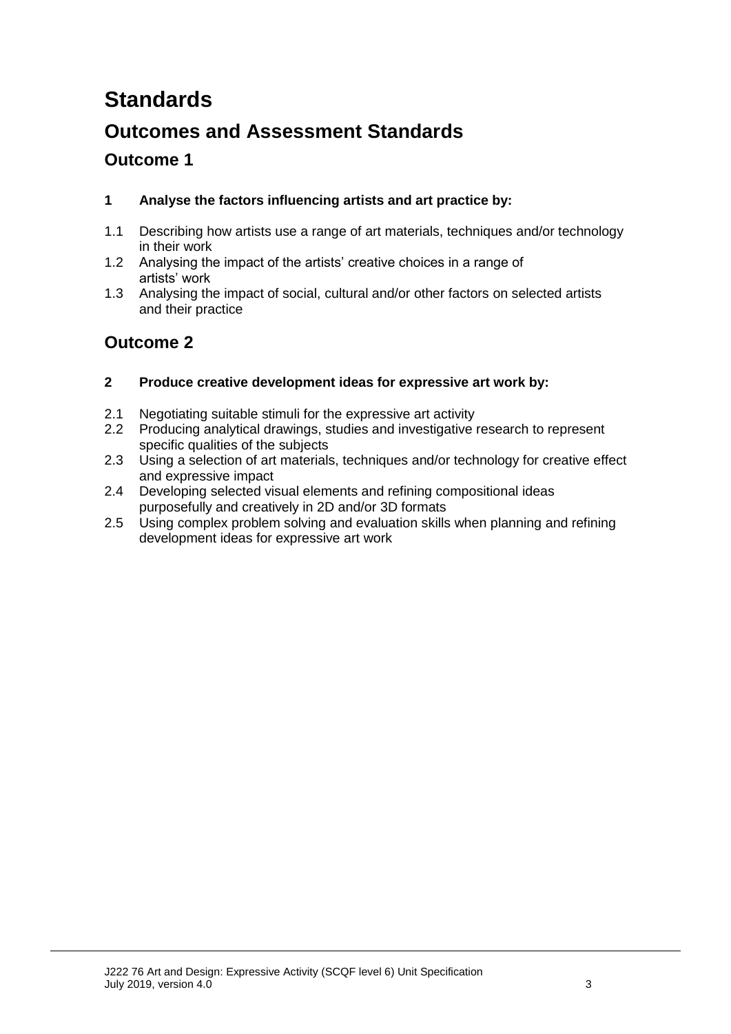# **Standards**

## **Outcomes and Assessment Standards**

### **Outcome 1**

#### **1 Analyse the factors influencing artists and art practice by:**

- 1.1 Describing how artists use a range of art materials, techniques and/or technology in their work
- 1.2 Analysing the impact of the artists' creative choices in a range of artists' work
- 1.3 Analysing the impact of social, cultural and/or other factors on selected artists and their practice

### **Outcome 2**

#### **2 Produce creative development ideas for expressive art work by:**

- 2.1 Negotiating suitable stimuli for the expressive art activity
- 2.2 Producing analytical drawings, studies and investigative research to represent specific qualities of the subjects
- 2.3 Using a selection of art materials, techniques and/or technology for creative effect and expressive impact
- 2.4 Developing selected visual elements and refining compositional ideas purposefully and creatively in 2D and/or 3D formats
- 2.5 Using complex problem solving and evaluation skills when planning and refining development ideas for expressive art work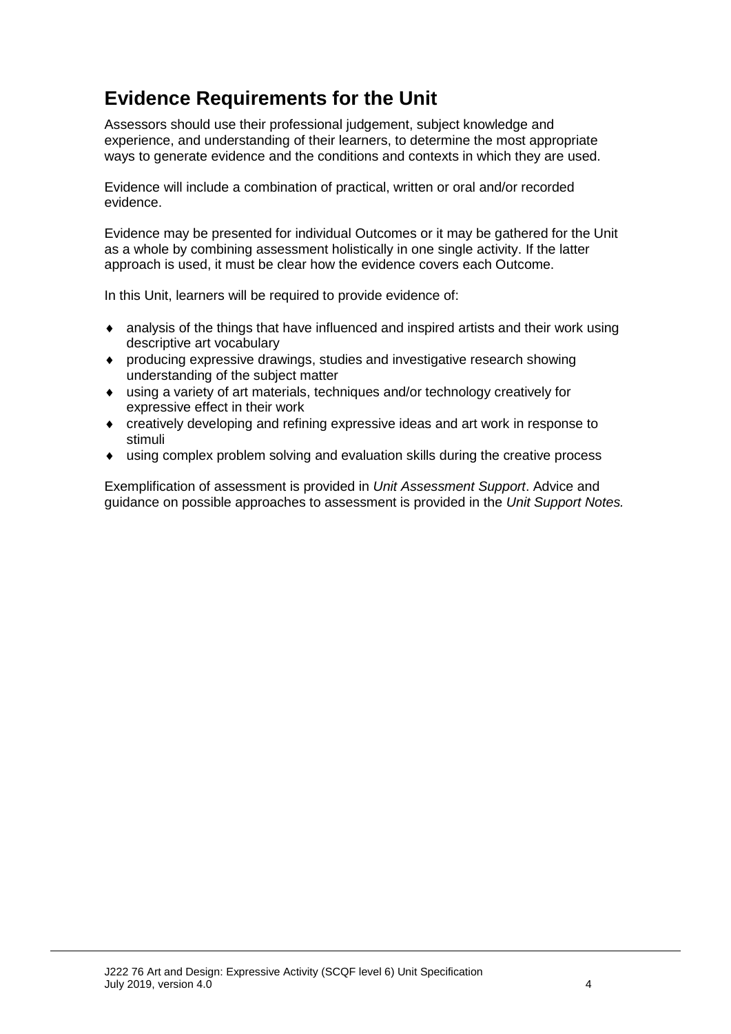## **Evidence Requirements for the Unit**

Assessors should use their professional judgement, subject knowledge and experience, and understanding of their learners, to determine the most appropriate ways to generate evidence and the conditions and contexts in which they are used.

Evidence will include a combination of practical, written or oral and/or recorded evidence.

Evidence may be presented for individual Outcomes or it may be gathered for the Unit as a whole by combining assessment holistically in one single activity. If the latter approach is used, it must be clear how the evidence covers each Outcome.

In this Unit, learners will be required to provide evidence of:

- analysis of the things that have influenced and inspired artists and their work using descriptive art vocabulary
- producing expressive drawings, studies and investigative research showing understanding of the subject matter
- using a variety of art materials, techniques and/or technology creatively for expressive effect in their work
- creatively developing and refining expressive ideas and art work in response to stimuli
- using complex problem solving and evaluation skills during the creative process

Exemplification of assessment is provided in *Unit Assessment Support*. Advice and guidance on possible approaches to assessment is provided in the *Unit Support Notes.*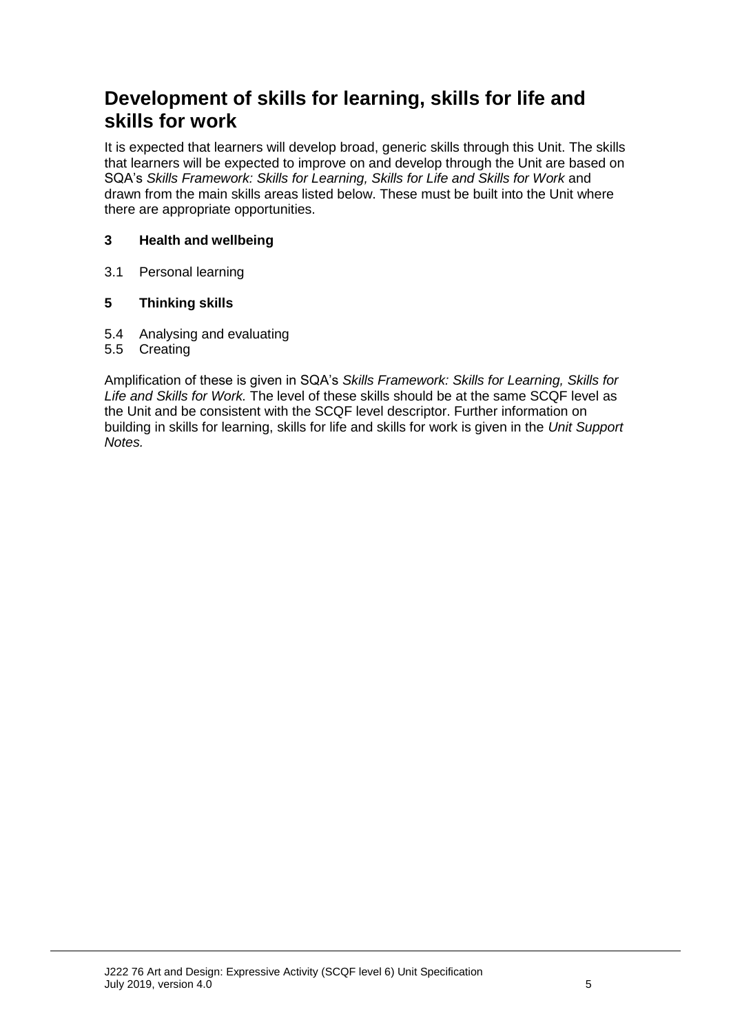## **Development of skills for learning, skills for life and skills for work**

It is expected that learners will develop broad, generic skills through this Unit. The skills that learners will be expected to improve on and develop through the Unit are based on SQA's *Skills Framework: Skills for Learning, Skills for Life and Skills for Work* and drawn from the main skills areas listed below. These must be built into the Unit where there are appropriate opportunities.

#### **3 Health and wellbeing**

3.1 Personal learning

#### **5 Thinking skills**

- 5.4 Analysing and evaluating
- 5.5 Creating

Amplification of these is given in SQA's *Skills Framework: Skills for Learning, Skills for Life and Skills for Work.* The level of these skills should be at the same SCQF level as the Unit and be consistent with the SCQF level descriptor. Further information on building in skills for learning, skills for life and skills for work is given in the *Unit Support Notes.*